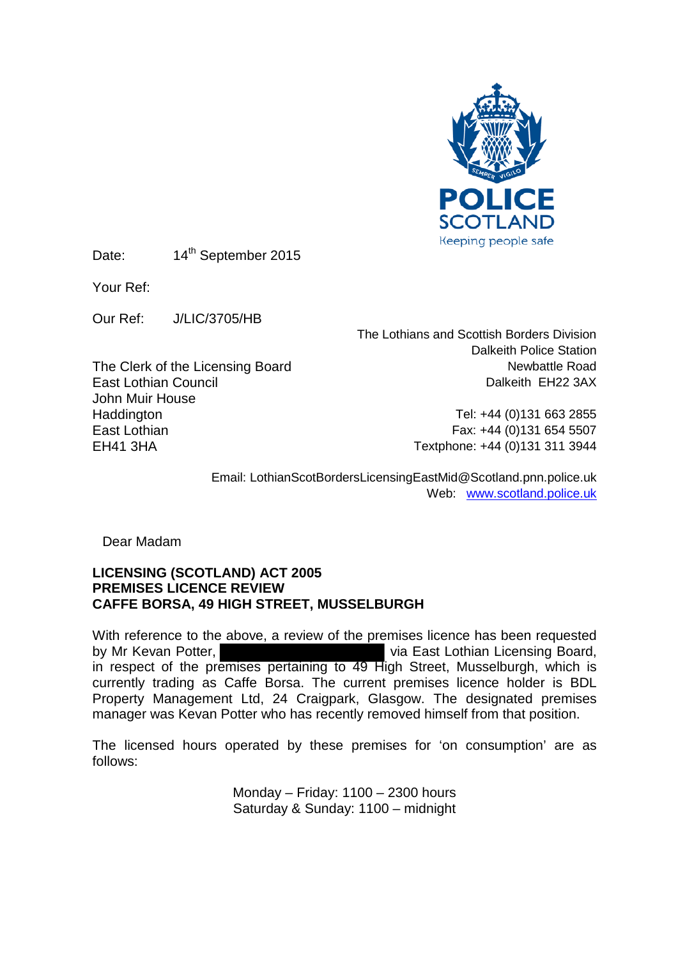

Date: 14<sup>th</sup> September 2015

Your Ref:

Our Ref: J/LIC/3705/HB

East Lothian Council John Muir House Haddington **Haddington** Tel: +44 (0)131 663 2855<br>East Lothian **Tel: +44 (0)131 663 2855** East Lothian Fax: +44 (0) 131 654 5507<br>EH41 3HA Fextphone: +44 (0) 131 311 3944

The Lothians and Scottish Borders Division Dalkeith Police Station The Clerk of the Licensing Board<br>
Fast Lothian Council and Task and Dalkeith EH22 3AX

Textphone: +44 (0)131 311 3944

Email: LothianScotBordersLicensingEastMid@Scotland.pnn.police.uk Web: [www.scotland.police.uk](http://www.scotland.police.uk/)

Dear Madam

## **LICENSING (SCOTLAND) ACT 2005 PREMISES LICENCE REVIEW CAFFE BORSA, 49 HIGH STREET, MUSSELBURGH**

With reference to the above, a review of the premises licence has been requested by Mr Kevan Potter, **via East Lothian Licensing Board**, in respect of the premises pertaining to 49 High Street, Musselburgh, which is currently trading as Caffe Borsa. The current premises licence holder is BDL Property Management Ltd, 24 Craigpark, Glasgow. The designated premises manager was Kevan Potter who has recently removed himself from that position.

The licensed hours operated by these premises for 'on consumption' are as follows:

> Monday – Friday: 1100 – 2300 hours Saturday & Sunday: 1100 – midnight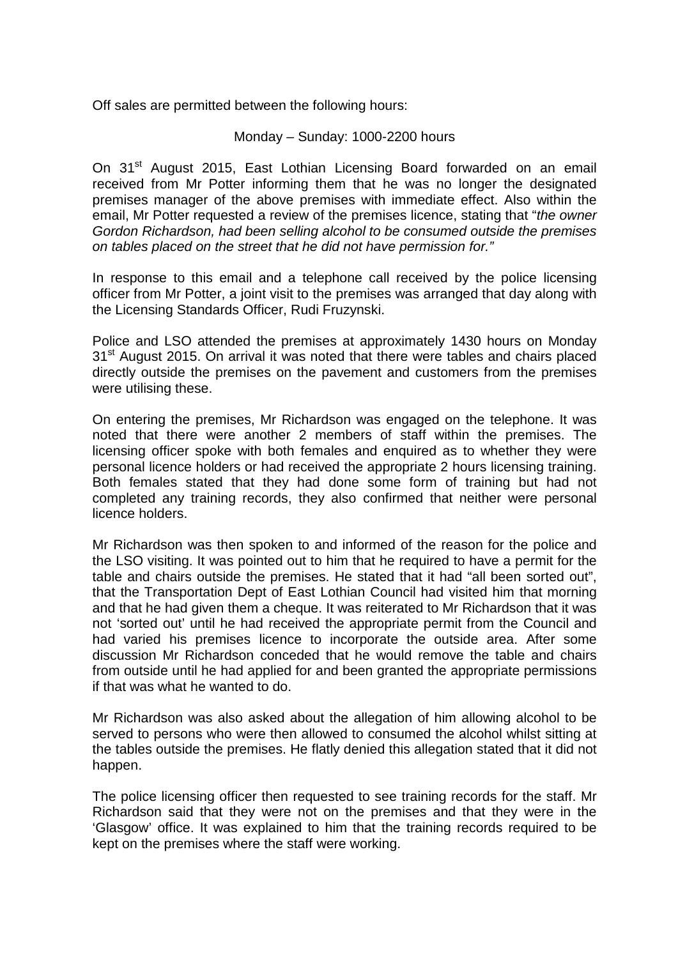Off sales are permitted between the following hours:

## Monday – Sunday: 1000-2200 hours

On 31<sup>st</sup> August 2015, East Lothian Licensing Board forwarded on an email received from Mr Potter informing them that he was no longer the designated premises manager of the above premises with immediate effect. Also within the email, Mr Potter requested a review of the premises licence, stating that "*the owner Gordon Richardson, had been selling alcohol to be consumed outside the premises on tables placed on the street that he did not have permission for."*

In response to this email and a telephone call received by the police licensing officer from Mr Potter, a joint visit to the premises was arranged that day along with the Licensing Standards Officer, Rudi Fruzynski.

Police and LSO attended the premises at approximately 1430 hours on Monday 31<sup>st</sup> August 2015. On arrival it was noted that there were tables and chairs placed directly outside the premises on the pavement and customers from the premises were utilising these.

On entering the premises, Mr Richardson was engaged on the telephone. It was noted that there were another 2 members of staff within the premises. The licensing officer spoke with both females and enquired as to whether they were personal licence holders or had received the appropriate 2 hours licensing training. Both females stated that they had done some form of training but had not completed any training records, they also confirmed that neither were personal licence holders.

Mr Richardson was then spoken to and informed of the reason for the police and the LSO visiting. It was pointed out to him that he required to have a permit for the table and chairs outside the premises. He stated that it had "all been sorted out", that the Transportation Dept of East Lothian Council had visited him that morning and that he had given them a cheque. It was reiterated to Mr Richardson that it was not 'sorted out' until he had received the appropriate permit from the Council and had varied his premises licence to incorporate the outside area. After some discussion Mr Richardson conceded that he would remove the table and chairs from outside until he had applied for and been granted the appropriate permissions if that was what he wanted to do.

Mr Richardson was also asked about the allegation of him allowing alcohol to be served to persons who were then allowed to consumed the alcohol whilst sitting at the tables outside the premises. He flatly denied this allegation stated that it did not happen.

The police licensing officer then requested to see training records for the staff. Mr Richardson said that they were not on the premises and that they were in the 'Glasgow' office. It was explained to him that the training records required to be kept on the premises where the staff were working.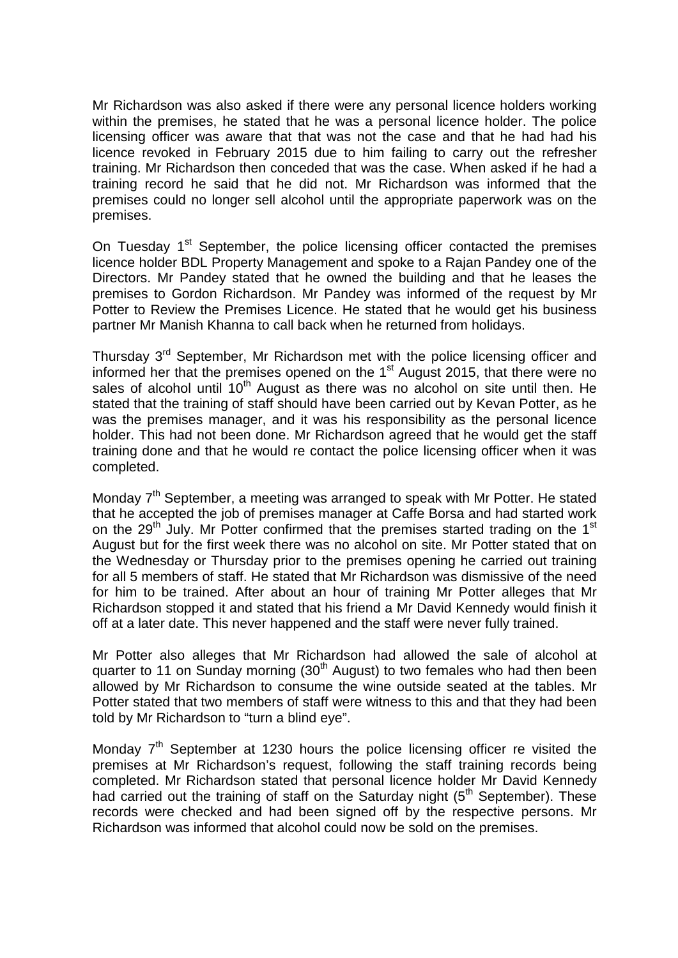Mr Richardson was also asked if there were any personal licence holders working within the premises, he stated that he was a personal licence holder. The police licensing officer was aware that that was not the case and that he had had his licence revoked in February 2015 due to him failing to carry out the refresher training. Mr Richardson then conceded that was the case. When asked if he had a training record he said that he did not. Mr Richardson was informed that the premises could no longer sell alcohol until the appropriate paperwork was on the premises.

On Tuesday 1<sup>st</sup> September, the police licensing officer contacted the premises licence holder BDL Property Management and spoke to a Rajan Pandey one of the Directors. Mr Pandey stated that he owned the building and that he leases the premises to Gordon Richardson. Mr Pandey was informed of the request by Mr Potter to Review the Premises Licence. He stated that he would get his business partner Mr Manish Khanna to call back when he returned from holidays.

Thursday 3<sup>rd</sup> September, Mr Richardson met with the police licensing officer and informed her that the premises opened on the  $1<sup>st</sup>$  August 2015, that there were no sales of alcohol until  $10<sup>th</sup>$  August as there was no alcohol on site until then. He stated that the training of staff should have been carried out by Kevan Potter, as he was the premises manager, and it was his responsibility as the personal licence holder. This had not been done. Mr Richardson agreed that he would get the staff training done and that he would re contact the police licensing officer when it was completed.

Monday 7<sup>th</sup> September, a meeting was arranged to speak with Mr Potter. He stated that he accepted the job of premises manager at Caffe Borsa and had started work on the  $29<sup>th</sup>$  July. Mr Potter confirmed that the premises started trading on the 1<sup>st</sup> August but for the first week there was no alcohol on site. Mr Potter stated that on the Wednesday or Thursday prior to the premises opening he carried out training for all 5 members of staff. He stated that Mr Richardson was dismissive of the need for him to be trained. After about an hour of training Mr Potter alleges that Mr Richardson stopped it and stated that his friend a Mr David Kennedy would finish it off at a later date. This never happened and the staff were never fully trained.

Mr Potter also alleges that Mr Richardson had allowed the sale of alcohol at quarter to 11 on Sunday morning (30<sup>th</sup> August) to two females who had then been allowed by Mr Richardson to consume the wine outside seated at the tables. Mr Potter stated that two members of staff were witness to this and that they had been told by Mr Richardson to "turn a blind eye".

Monday  $7<sup>th</sup>$  September at 1230 hours the police licensing officer re visited the premises at Mr Richardson's request, following the staff training records being completed. Mr Richardson stated that personal licence holder Mr David Kennedy had carried out the training of staff on the Saturday night  $(5<sup>th</sup> September)$ . These records were checked and had been signed off by the respective persons. Mr Richardson was informed that alcohol could now be sold on the premises.